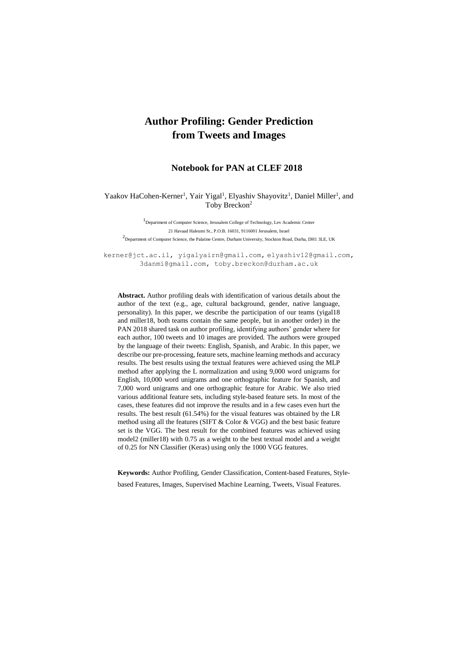# **Author Profiling: Gender Prediction from Tweets and Images**

## **Notebook for PAN at CLEF 2018**

#### Yaakov HaCohen-Kerner<sup>1</sup>, Yair Yigal<sup>1</sup>, Elyashiv Shayovitz<sup>1</sup>, Daniel Miller<sup>1</sup>, and Toby Breckon<sup>2</sup>

1 Department of Computer Science, Jerusalem College of Technology, Lev Academic Center 21 Havaad Haleumi St., P.O.B. 16031, 9116001 Jerusalem, Israel <sup>2</sup> Department of Computer Science, the Palatine Centre, Durham University, Stockton Road, Durha, DH1 3LE, UK

[kerner@jct.ac.il,](mailto:kerner@jct.ac.il) [yigalyairn@gmail.com,](mailto:yigalyairn@gmail.com,) [elyashiv12@gmail.com,](mailto:elyashiv12@gmail.com) 3danmi@gmail.com, toby.breckon@durham.ac.uk

**Abstract.** Author profiling deals with identification of various details about the author of the text (e.g., age, cultural background, gender, native language, personality). In this paper, we describe the participation of our teams (yigal18 and miller18, both teams contain the same people, but in another order) in the PAN 2018 shared task on author profiling, identifying authors' gender where for each author, 100 tweets and 10 images are provided. The authors were grouped by the language of their tweets: English, Spanish, and Arabic. In this paper, we describe our pre-processing, feature sets, machine learning methods and accuracy results. The best results using the textual features were achieved using the MLP method after applying the L normalization and using 9,000 word unigrams for English, 10,000 word unigrams and one orthographic feature for Spanish, and 7,000 word unigrams and one orthographic feature for Arabic. We also tried various additional feature sets, including style-based feature sets. In most of the cases, these features did not improve the results and in a few cases even hurt the results. The best result (61.54%) for the visual features was obtained by the LR method using all the features (SIFT & Color & VGG) and the best basic feature set is the VGG. The best result for the combined features was achieved using model2 (miller18) with 0.75 as a weight to the best textual model and a weight of 0.25 for NN Classifier (Keras) using only the 1000 VGG features.

**Keywords:** Author Profiling, Gender Classification, Content-based Features, Stylebased Features, Images, Supervised Machine Learning, Tweets, Visual Features.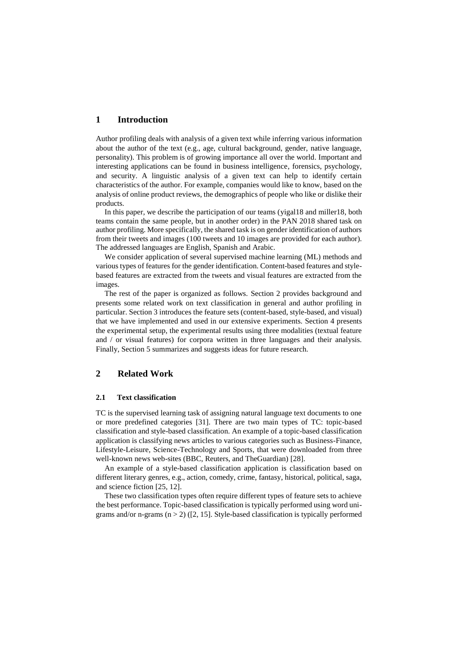## **1 Introduction**

Author profiling deals with analysis of a given text while inferring various information about the author of the text (e.g., age, cultural background, gender, native language, personality). This problem is of growing importance all over the world. Important and interesting applications can be found in business intelligence, forensics, psychology, and security. A linguistic analysis of a given text can help to identify certain characteristics of the author. For example, companies would like to know, based on the analysis of online product reviews, the demographics of people who like or dislike their products.

In this paper, we describe the participation of our teams (yigal18 and miller18, both teams contain the same people, but in another order) in the PAN 2018 shared task on author profiling. More specifically, the shared task is on gender identification of authors from their tweets and images (100 tweets and 10 images are provided for each author). The addressed languages are English, Spanish and Arabic.

We consider application of several supervised machine learning (ML) methods and various types of features for the gender identification. Content-based features and stylebased features are extracted from the tweets and visual features are extracted from the images.

The rest of the paper is organized as follows. Section 2 provides background and presents some related work on text classification in general and author profiling in particular. Section 3 introduces the feature sets (content-based, style-based, and visual) that we have implemented and used in our extensive experiments. Section 4 presents the experimental setup, the experimental results using three modalities (textual feature and / or visual features) for corpora written in three languages and their analysis. Finally, Section 5 summarizes and suggests ideas for future research.

## **2 Related Work**

#### **2.1 Text classification**

TC is the supervised learning task of assigning natural language text documents to one or more predefined categories [31]. There are two main types of TC: topic-based classification and style-based classification. An example of a topic-based classification application is classifying news articles to various categories such as Business-Finance, Lifestyle-Leisure, Science-Technology and Sports, that were downloaded from three well-known news web-sites (BBC, Reuters, and TheGuardian) [28].

An example of a style-based classification application is classification based on different literary genres, e.g., action, comedy, crime, fantasy, historical, political, saga, and science fiction [25, 12].

These two classification types often require different types of feature sets to achieve the best performance. Topic-based classification is typically performed using word unigrams and/or n-grams  $(n > 2)$  ([2, 15]. Style-based classification is typically performed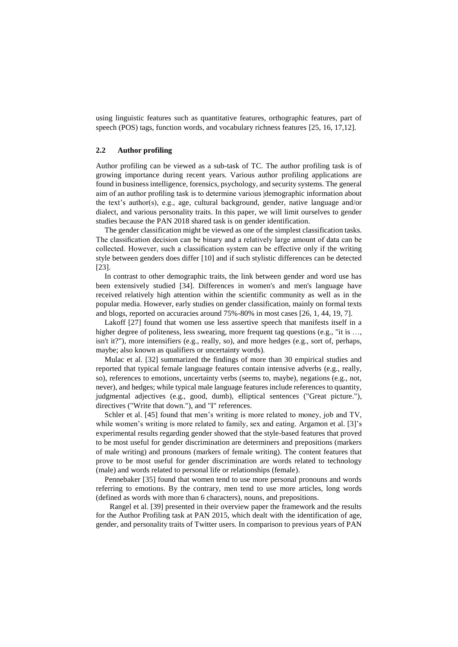using linguistic features such as quantitative features, orthographic features, part of speech (POS) tags, function words, and vocabulary richness features [25, 16, 17,12].

#### **2.2 Author profiling**

Author profiling can be viewed as a sub-task of TC. The author profiling task is of growing importance during recent years. Various author profiling applications are found in business intelligence, forensics, psychology, and security systems. The general aim of an author profiling task is to determine various |demographic information about the text's author(s), e.g., age, cultural background, gender, native language and/or dialect, and various personality traits. In this paper, we will limit ourselves to gender studies because the PAN 2018 shared task is on gender identification.

The gender classification might be viewed as one of the simplest classification tasks. The classification decision can be binary and a relatively large amount of data can be collected. However, such a classification system can be effective only if the writing style between genders does differ [10] and if such stylistic differences can be detected [23].

In contrast to other demographic traits, the link between gender and word use has been extensively studied [34]. Differences in women's and men's language have received relatively high attention within the scientific community as well as in the popular media. However, early studies on gender classification, mainly on formal texts and blogs, reported on accuracies around 75%-80% in most cases [26, 1, 44, 19, 7].

Lakoff [27] found that women use less assertive speech that manifests itself in a higher degree of politeness, less swearing, more frequent tag questions (e.g., "it is ..., isn't it?"), more intensifiers (e.g., really, so), and more hedges (e.g., sort of, perhaps, maybe; also known as qualifiers or uncertainty words).

Mulac et al. [32] summarized the findings of more than 30 empirical studies and reported that typical female language features contain intensive adverbs (e.g., really, so), references to emotions, uncertainty verbs (seems to, maybe), negations (e.g., not, never), and hedges; while typical male language features include references to quantity, judgmental adjectives (e.g., good, dumb), elliptical sentences ("Great picture."), directives ("Write that down."), and "I" references.

Schler et al. [45] found that men's writing is more related to money, job and TV, while women's writing is more related to family, sex and eating. Argamon et al. [3]'s experimental results regarding gender showed that the style-based features that proved to be most useful for gender discrimination are determiners and prepositions (markers of male writing) and pronouns (markers of female writing). The content features that prove to be most useful for gender discrimination are words related to technology (male) and words related to personal life or relationships (female).

Pennebaker [35] found that women tend to use more personal pronouns and words referring to emotions. By the contrary, men tend to use more articles, long words (defined as words with more than 6 characters), nouns, and prepositions.

Rangel et al. [39] presented in their overview paper the framework and the results for the Author Profiling task at PAN 2015, which dealt with the identification of age, gender, and personality traits of Twitter users. In comparison to previous years of PAN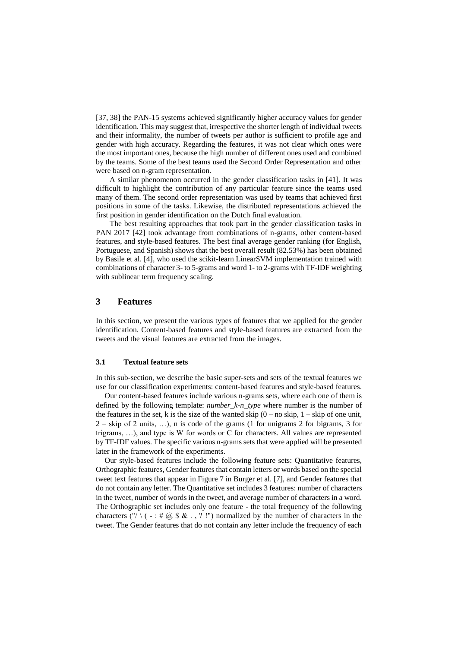[37, 38] the PAN-15 systems achieved significantly higher accuracy values for gender identification. This may suggest that, irrespective the shorter length of individual tweets and their informality, the number of tweets per author is sufficient to profile age and gender with high accuracy. Regarding the features, it was not clear which ones were the most important ones, because the high number of different ones used and combined by the teams. Some of the best teams used the Second Order Representation and other were based on n-gram representation.

A similar phenomenon occurred in the gender classification tasks in [41]. It was difficult to highlight the contribution of any particular feature since the teams used many of them. The second order representation was used by teams that achieved first positions in some of the tasks. Likewise, the distributed representations achieved the first position in gender identification on the Dutch final evaluation.

The best resulting approaches that took part in the gender classification tasks in PAN 2017 [42] took advantage from combinations of n-grams, other content-based features, and style-based features. The best final average gender ranking (for English, Portuguese, and Spanish) shows that the best overall result (82.53%) has been obtained by Basile et al. [4], who used the scikit-learn LinearSVM implementation trained with combinations of character 3- to 5-grams and word 1- to 2-grams with TF-IDF weighting with sublinear term frequency scaling.

## **3 Features**

In this section, we present the various types of features that we applied for the gender identification. Content-based features and style-based features are extracted from the tweets and the visual features are extracted from the images.

#### **3.1 Textual feature sets**

In this sub-section, we describe the basic super-sets and sets of the textual features we use for our classification experiments: content-based features and style-based features.

Our content-based features include various n-grams sets, where each one of them is defined by the following template: *number\_k-n\_type* where number is the number of the features in the set, k is the size of the wanted skip  $(0 - no \text{ skip}, 1 - \text{skip of one unit},$ 2 – skip of 2 units, …), n is code of the grams (1 for unigrams 2 for bigrams, 3 for trigrams, …), and type is W for words or C for characters. All values are represented by TF-IDF values. The specific various n-grams sets that were applied will be presented later in the framework of the experiments.

Our style-based features include the following feature sets: Quantitative features, Orthographic features, Gender features that contain letters or words based on the special tweet text features that appear in Figure 7 in Burger et al. [7], and Gender features that do not contain any letter. The Quantitative set includes 3 features: number of characters in the tweet, number of words in the tweet, and average number of characters in a word. The Orthographic set includes only one feature - the total frequency of the following characters ("/ \ ( - : #  $\omega$  \$ & ., ? !") normalized by the number of characters in the tweet. The Gender features that do not contain any letter include the frequency of each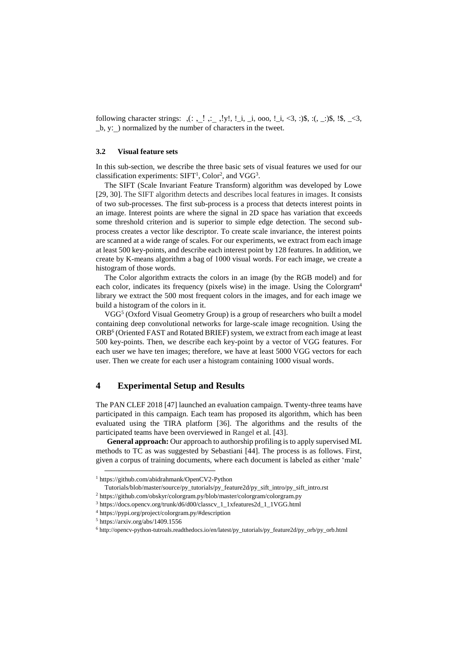following character strings: ,): ,\_! ,:\_ ,!y!, !\_i, \_i, ooo, !\_i, <3, :)\$, :(, \_:)\$, !\$, \_<3,  $_b$ , y:) normalized by the number of characters in the tweet.

#### **3.2 Visual feature sets**

In this sub-section, we describe the three basic sets of visual features we used for our classification experiments:  $SIFT<sup>1</sup>$ , Color<sup>2</sup>, and VGG<sup>3</sup>.

The SIFT (Scale Invariant Feature Transform) algorithm was developed by Lowe [29, 30]. The SIFT algorithm detects and describes local features in images. It consists of two sub-processes. The first sub-process is a process that detects interest points in an image. Interest points are where the signal in 2D space has variation that exceeds some threshold criterion and is superior to simple edge detection. The second subprocess creates a vector like descriptor. To create scale invariance, the interest points are scanned at a wide range of scales. For our experiments, we extract from each image at least 500 key-points, and describe each interest point by 128 features. In addition, we create by K-means algorithm a bag of 1000 visual words. For each image, we create a histogram of those words.

The Color algorithm extracts the colors in an image (by the RGB model) and for each color, indicates its frequency (pixels wise) in the image. Using the Colorgram<sup>4</sup> library we extract the 500 most frequent colors in the images, and for each image we build a histogram of the colors in it.

VGG<sup>5</sup> (Oxford Visual Geometry Group) is a group of researchers who built a model containing deep convolutional networks for large-scale image recognition. Using the ORB<sup>6</sup> (Oriented FAST and Rotated BRIEF) system, we extract from each image at least 500 key-points. Then, we describe each key-point by a vector of VGG features. For each user we have ten images; therefore, we have at least 5000 VGG vectors for each user. Then we create for each user a histogram containing 1000 visual words.

## **4 Experimental Setup and Results**

The PAN CLEF 2018 [47] launched an evaluation campaign. Twenty-three teams have participated in this campaign. Each team has proposed its algorithm, which has been evaluated using the TIRA platform [36]. The algorithms and the results of the participated teams have been overviewed in Rangel et al. [43].

**General approach:** Our approach to authorship profiling is to apply supervised ML methods to TC as was suggested by Sebastiani [44]. The process is as follows. First, given a corpus of training documents, where each document is labeled as either 'male'

-

<sup>1</sup> https://github.com/abidrahmank/OpenCV2-Python

Tutorials/blob/master/source/py\_tutorials/py\_feature2d/py\_sift\_intro/py\_sift\_intro.rst

<sup>2</sup> https://github.com/obskyr/colorgram.py/blob/master/colorgram/colorgram.py

<sup>3</sup> https://docs.opencv.org/trunk/d6/d00/classcv\_1\_1xfeatures2d\_1\_1VGG.html

<sup>4</sup> https://pypi.org/project/colorgram.py/#description

 $5$  https://arxiv.org/abs/1409.1556

<sup>6</sup> http://opencv-python-tutroals.readthedocs.io/en/latest/py\_tutorials/py\_feature2d/py\_orb/py\_orb.html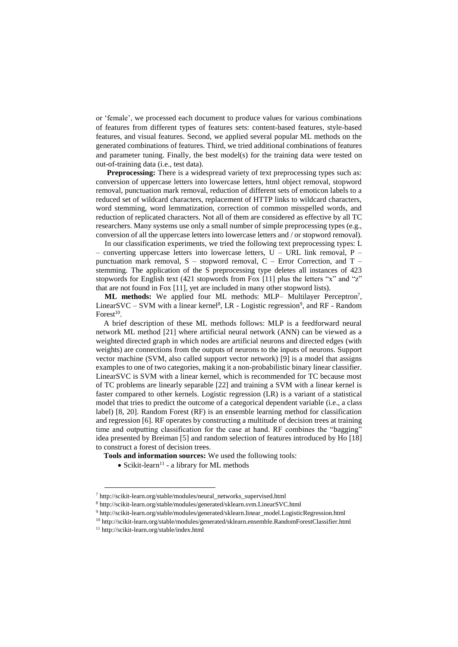or 'female', we processed each document to produce values for various combinations of features from different types of features sets: content-based features, style-based features, and visual features. Second, we applied several popular ML methods on the generated combinations of features. Third, we tried additional combinations of features and parameter tuning. Finally, the best model(s) for the training data were tested on out-of-training data (i.e., test data).

**Preprocessing:** There is a widespread variety of text preprocessing types such as: conversion of uppercase letters into lowercase letters, html object removal, stopword removal, punctuation mark removal, reduction of different sets of emoticon labels to a reduced set of wildcard characters, replacement of HTTP links to wildcard characters, word stemming, word lemmatization, correction of common misspelled words, and reduction of replicated characters. Not all of them are considered as effective by all TC researchers. Many systems use only a small number of simple preprocessing types (e.g., conversion of all the uppercase letters into lowercase letters and / or stopword removal).

In our classification experiments, we tried the following text preprocessing types: L – converting uppercase letters into lowercase letters,  $U - URL$  link removal, P punctuation mark removal,  $S -$  stopword removal,  $C -$  Error Correction, and  $T$ stemming. The application of the S preprocessing type deletes all instances of 423 stopwords for English text (421 stopwords from Fox [11] plus the letters "x" and "z" that are not found in Fox [11], yet are included in many other stopword lists).

ML methods: We applied four ML methods: MLP- Multilayer Perceptron<sup>7</sup>, LinearSVC – SVM with a linear kernel<sup>8</sup>, LR - Logistic regression<sup>9</sup>, and RF - Random Forest $10$ .

A brief description of these ML methods follows: MLP is a feedforward neural network ML method [21] where artificial neural network (ANN) can be viewed as a weighted directed graph in which nodes are artificial neurons and directed edges (with weights) are connections from the outputs of neurons to the inputs of neurons. Support vector machine (SVM, also called support vector network) [9] is a model that assigns examples to one of two categories, making it a non[-probabilistic](https://en.wikipedia.org/wiki/Probabilistic_classification) [binary](https://en.wikipedia.org/wiki/Binary_classifier) [linear classifier.](https://en.wikipedia.org/wiki/Linear_classifier) LinearSVC is SVM with a linear kernel, which is recommended for TC because most of TC problems are linearly separable [22] and training a SVM with a linear kernel is faster compared to other kernels. Logistic regression (LR) is a variant of a [statistical](https://en.wikipedia.org/wiki/Statistical_model)  [model](https://en.wikipedia.org/wiki/Statistical_model) that tries to predict the outcome of a [categorical](http://en.wikipedia.org/wiki/Categorical_variable) [dependent variable](http://en.wikipedia.org/wiki/Dependent_and_independent_variables) (i.e., a class label) [8, 20]. Random Forest (RF) is an ensemble learning method for classification and regression [6]. RF operates by constructing a multitude of [decision trees](https://en.wikipedia.org/wiki/Decision_tree_learning) at training time and outputting classification for the case at hand. RF combines the ["bagging"](https://en.wikipedia.org/wiki/Bootstrap_aggregating) idea presented by Breiman [5] and random selection of features introduced by Ho [18] to construct a forest of decision trees.

- **Tools and information sources:** We used the following tools:
	- $\bullet$  Scikit-learn<sup>11</sup> a library for ML methods

1

<sup>7</sup> [http://scikit-learn.org/stable/modules/neural\\_networks\\_supervised.html](http://scikit-learn.org/stable/modules/neural_networks_supervised.html)

<sup>8</sup> <http://scikit-learn.org/stable/modules/generated/sklearn.svm.LinearSVC.html>

<sup>9</sup> [http://scikit-learn.org/stable/modules/generated/sklearn.linear\\_model.LogisticRegression.html](http://scikit-learn.org/stable/modules/generated/sklearn.linear_model.LogisticRegression.html)

<sup>10</sup> http://scikit-learn.org/stable/modules/generated/sklearn.ensemble.RandomForestClassifier.html

<sup>11</sup> <http://scikit-learn.org/stable/index.html>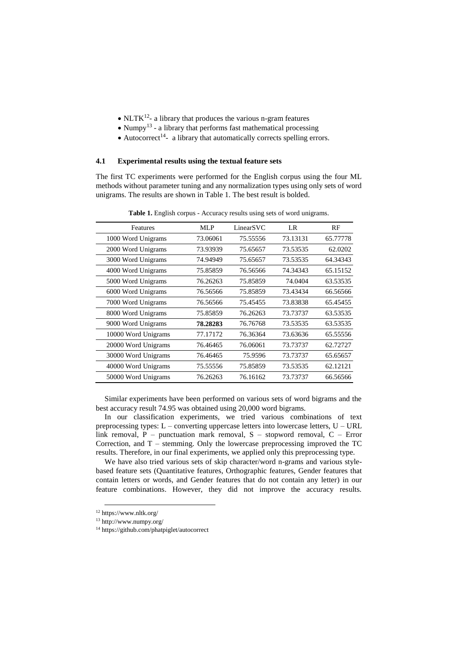- $\bullet$  NLTK<sup>12</sup>- a library that produces the various n-gram features
- $\bullet$  Numpy<sup>13</sup> a library that performs fast mathematical processing
- $\bullet$  Autocorrect<sup>14</sup>- a library that automatically corrects spelling errors.

#### **4.1 Experimental results using the textual feature sets**

The first TC experiments were performed for the English corpus using the four ML methods without parameter tuning and any normalization types using only sets of word unigrams. The results are shown in Table 1. The best result is bolded.

| Features            | MLP      | LinearSVC | LR       | RF       |
|---------------------|----------|-----------|----------|----------|
| 1000 Word Unigrams  | 73.06061 | 75.55556  | 73.13131 | 65.77778 |
| 2000 Word Unigrams  | 73.93939 | 75.65657  | 73.53535 | 62.0202  |
| 3000 Word Unigrams  | 74.94949 | 75.65657  | 73.53535 | 64.34343 |
| 4000 Word Unigrams  | 75.85859 | 76.56566  | 74.34343 | 65.15152 |
| 5000 Word Unigrams  | 76.26263 | 75.85859  | 74.0404  | 63.53535 |
| 6000 Word Unigrams  | 76.56566 | 75.85859  | 73.43434 | 66.56566 |
| 7000 Word Unigrams  | 76.56566 | 75.45455  | 73.83838 | 65.45455 |
| 8000 Word Unigrams  | 75.85859 | 76.26263  | 73.73737 | 63.53535 |
| 9000 Word Unigrams  | 78.28283 | 76.76768  | 73.53535 | 63.53535 |
| 10000 Word Unigrams | 77.17172 | 76.36364  | 73.63636 | 65.55556 |
| 20000 Word Unigrams | 76.46465 | 76.06061  | 73.73737 | 62.72727 |
| 30000 Word Unigrams | 76.46465 | 75.9596   | 73.73737 | 65.65657 |
| 40000 Word Unigrams | 75.55556 | 75.85859  | 73.53535 | 62.12121 |
| 50000 Word Unigrams | 76.26263 | 76.16162  | 73.73737 | 66.56566 |

**Table 1.** English corpus - Accuracy results using sets of word unigrams.

Similar experiments have been performed on various sets of word bigrams and the best accuracy result 74.95 was obtained using 20,000 word bigrams.

In our classification experiments, we tried various combinations of text preprocessing types: L – converting uppercase letters into lowercase letters, U – URL link removal,  $P$  – punctuation mark removal,  $S$  – stopword removal,  $C$  – Error Correction, and  $T$  – stemming. Only the lowercase preprocessing improved the  $TC$ results. Therefore, in our final experiments, we applied only this preprocessing type.

We have also tried various sets of skip character/word n-grams and various stylebased feature sets (Quantitative features, Orthographic features, Gender features that contain letters or words, and Gender features that do not contain any letter) in our feature combinations. However, they did not improve the accuracy results.

1

<sup>12</sup> <https://www.nltk.org/>

<sup>13</sup> <http://www.numpy.org/>

<sup>14</sup> <https://github.com/phatpiglet/autocorrect>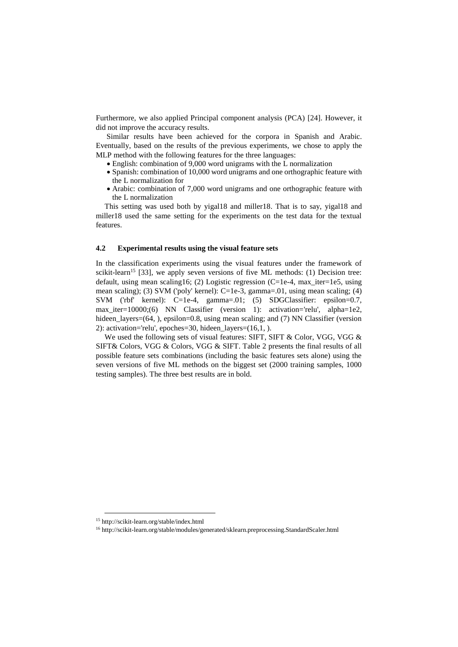Furthermore, we also applied Principal component analysis (PCA) [24]. However, it did not improve the accuracy results.

Similar results have been achieved for the corpora in Spanish and Arabic. Eventually, based on the results of the previous experiments, we chose to apply the MLP method with the following features for the three languages:

- English: combination of 9,000 word unigrams with the L normalization
- Spanish: combination of 10,000 word unigrams and one orthographic feature with the L normalization for
- Arabic: combination of 7,000 word unigrams and one orthographic feature with the L normalization

This setting was used both by yigal18 and miller18. That is to say, yigal18 and miller18 used the same setting for the experiments on the test data for the textual features.

#### **4.2 Experimental results using the visual feature sets**

In the classification experiments using the visual features under the framework of scikit-learn<sup>15</sup> [33], we apply seven versions of five ML methods: (1) Decision tree: default, using mean scaling16; (2) Logistic regression (C=1e-4, max iter=1e5, using mean scaling); (3) SVM ('poly' kernel): C=1e-3, gamma=.01, using mean scaling; (4) SVM ('rbf' kernel): C=1e-4, gamma=.01; (5) SDGClassifier: epsilon=0.7, max\_iter=10000;(6) NN Classifier (version 1): activation='relu', alpha=1e2, hideen  $layers=(64, )$ , epsilon=0.8, using mean scaling; and (7) NN Classifier (version 2): activation='relu', epoches=30, hideen\_layers=(16,1, ).

We used the following sets of visual features: SIFT, SIFT & Color, VGG, VGG & SIFT& Colors, VGG & Colors, VGG & SIFT. Table 2 presents the final results of all possible feature sets combinations (including the basic features sets alone) using the seven versions of five ML methods on the biggest set (2000 training samples, 1000 testing samples). The three best results are in bold.

1

<sup>15</sup> http://scikit-learn.org/stable/index.html

<sup>1</sup>[6](http://scikit-learn.org/stable/modules/generated/sklearn.preprocessing.StandardScaler.html) <http://scikit-learn.org/stable/modules/generated/sklearn.preprocessing.StandardScaler.html>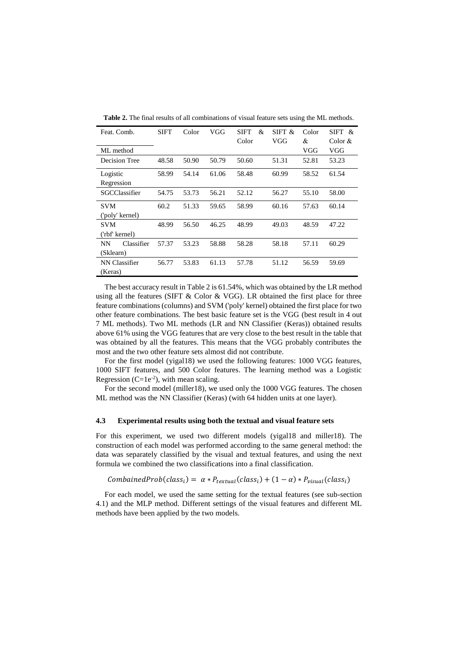|  |  | Table 2. The final results of all combinations of visual feature sets using the ML methods. |
|--|--|---------------------------------------------------------------------------------------------|
|--|--|---------------------------------------------------------------------------------------------|

| Feat. Comb.             | SIFT  | Color | VGG   | SIFT<br>& | SIFT $\&$ | Color | $SIFT \&$ |
|-------------------------|-------|-------|-------|-----------|-----------|-------|-----------|
|                         |       |       |       | Color     | VGG       | &     | Color $&$ |
| ML method               |       |       |       |           |           | VGG   | VGG       |
| Decision Tree           | 48.58 | 50.90 | 50.79 | 50.60     | 51.31     | 52.81 | 53.23     |
| Logistic                | 58.99 | 54.14 | 61.06 | 58.48     | 60.99     | 58.52 | 61.54     |
| Regression              |       |       |       |           |           |       |           |
| SGCClassifier           | 54.75 | 53.73 | 56.21 | 52.12     | 56.27     | 55.10 | 58.00     |
| <b>SVM</b>              | 60.2  | 51.33 | 59.65 | 58.99     | 60.16     | 57.63 | 60.14     |
| ('poly' kernel)         |       |       |       |           |           |       |           |
| <b>SVM</b>              | 48.99 | 56.50 | 46.25 | 48.99     | 49.03     | 48.59 | 47.22     |
| ('rbf' kernel)          |       |       |       |           |           |       |           |
| Classifier<br><b>NN</b> | 57.37 | 53.23 | 58.88 | 58.28     | 58.18     | 57.11 | 60.29     |
| (Sklearn)               |       |       |       |           |           |       |           |
| NN Classifier           | 56.77 | 53.83 | 61.13 | 57.78     | 51.12     | 56.59 | 59.69     |
| (Keras)                 |       |       |       |           |           |       |           |

The best accuracy result in Table 2 is 61.54%, which was obtained by the LR method using all the features (SIFT & Color & VGG). LR obtained the first place for three feature combinations (columns) and SVM ('poly' kernel) obtained the first place for two other feature combinations. The best basic feature set is the VGG (best result in 4 out 7 ML methods). Two ML methods (LR and NN Classifier (Keras)) obtained results above 61% using the VGG features that are very close to the best result in the table that was obtained by all the features. This means that the VGG probably contributes the most and the two other feature sets almost did not contribute.

For the first model (yigal18) we used the following features: 1000 VGG features, 1000 SIFT features, and 500 Color features. The learning method was a Logistic Regression ( $C=1e^{-2}$ ), with mean scaling.

For the second model (miller18), we used only the 1000 VGG features. The chosen ML method was the NN Classifier (Keras) (with 64 hidden units at one layer).

#### **4.3 Experimental results using both the textual and visual feature sets**

For this experiment, we used two different models (yigal18 and miller18). The construction of each model was performed according to the same general method: the data was separately classified by the visual and textual features, and using the next formula we combined the two classifications into a final classification.

CombainedProb(class<sub>i</sub>) =  $\alpha * P_{textual}(class_i) + (1 - \alpha) * P_{visual}(class_i)$ 

For each model, we used the same setting for the textual features (see sub-section 4.1) and the MLP method. Different settings of the visual features and different ML methods have been applied by the two models.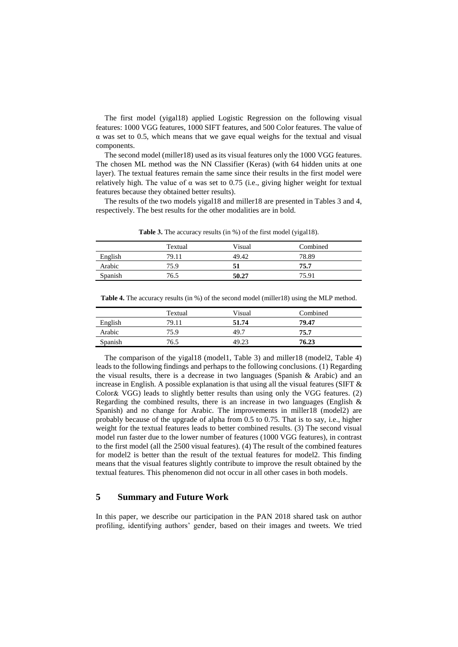The first model (yigal18) applied Logistic Regression on the following visual features: 1000 VGG features, 1000 SIFT features, and 500 Color features. The value of α was set to 0.5, which means that we gave equal weighs for the textual and visual components.

The second model (miller18) used as its visual features only the 1000 VGG features. The chosen ML method was the NN Classifier (Keras) (with 64 hidden units at one layer). The textual features remain the same since their results in the first model were relatively high. The value of  $\alpha$  was set to 0.75 (i.e., giving higher weight for textual features because they obtained better results).

The results of the two models yigal18 and miller18 are presented in Tables 3 and 4, respectively. The best results for the other modalities are in bold.

| Textual | Visual | Combined |
|---------|--------|----------|
| 79.11   | 49.42  | 78.89    |
| 75.9    |        | 75.7     |
| 76.5    | 50.27  | 75.91    |
|         |        |          |

Table 3. The accuracy results (in %) of the first model (yigal18).

|         | Textual | Visual | Combined |
|---------|---------|--------|----------|
| English | 79.11   | 51.74  | 79.47    |
| Arabic  | 75.9    | 49.7   | 75.7     |
| Spanish | 76.5    | 49.23  | 76.23    |

Table 4. The accuracy results (in %) of the second model (miller18) using the MLP method.

The comparison of the yigal18 (model1, Table 3) and miller18 (model2, Table 4) leads to the following findings and perhaps to the following conclusions. (1) Regarding the visual results, there is a decrease in two languages (Spanish & Arabic) and an increase in English. A possible explanation is that using all the visual features (SIFT  $\&$ Color& VGG) leads to slightly better results than using only the VGG features. (2) Regarding the combined results, there is an increase in two languages (English  $\&$ Spanish) and no change for Arabic. The improvements in miller18 (model2) are probably because of the upgrade of alpha from 0.5 to 0.75. That is to say, i.e., higher weight for the textual features leads to better combined results. (3) The second visual model run faster due to the lower number of features (1000 VGG features), in contrast to the first model (all the 2500 visual features). (4) The result of the combined features for model2 is better than the result of the textual features for model2. This finding means that the visual features slightly contribute to improve the result obtained by the textual features. This phenomenon did not occur in all other cases in both models.

## **5 Summary and Future Work**

In this paper, we describe our participation in the PAN 2018 shared task on author profiling, identifying authors' gender, based on their images and tweets. We tried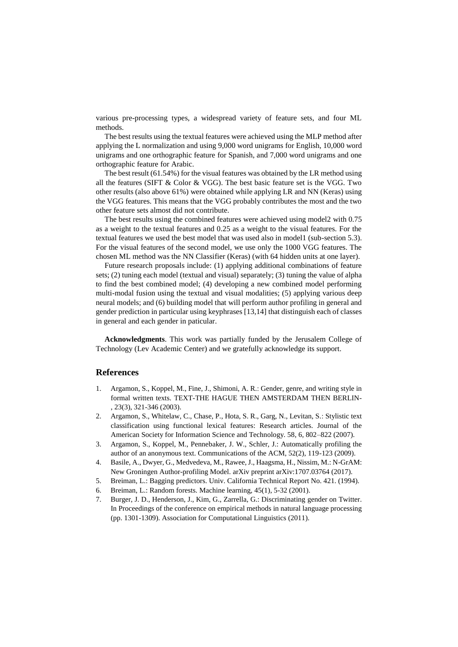various pre-processing types, a widespread variety of feature sets, and four ML methods.

The best results using the textual features were achieved using the MLP method after applying the L normalization and using 9,000 word unigrams for English, 10,000 word unigrams and one orthographic feature for Spanish, and 7,000 word unigrams and one orthographic feature for Arabic.

The best result (61.54%) for the visual features was obtained by the LR method using all the features (SIFT  $\&$  Color  $\&$  VGG). The best basic feature set is the VGG. Two other results (also above 61%) were obtained while applying LR and NN (Keras) using the VGG features. This means that the VGG probably contributes the most and the two other feature sets almost did not contribute.

The best results using the combined features were achieved using model2 with 0.75 as a weight to the textual features and 0.25 as a weight to the visual features. For the textual features we used the best model that was used also in model1 (sub-section 5.3). For the visual features of the second model, we use only the 1000 VGG features. The chosen ML method was the NN Classifier (Keras) (with 64 hidden units at one layer).

Future research proposals include: (1) applying additional combinations of feature sets; (2) tuning each model (textual and visual) separately; (3) tuning the value of alpha to find the best combined model; (4) developing a new combined model performing multi-modal fusion using the textual and visual modalities; (5) applying various deep neural models; and (6) building model that will perform author profiling in general and gender prediction in particular using keyphrases [13,14] that distinguish each of classes in general and each gender in paticular.

**Acknowledgments**. This work was partially funded by the Jerusalem College of Technology (Lev Academic Center) and we gratefully acknowledge its support.

### **References**

- 1. Argamon, S., Koppel, M., Fine, J., Shimoni, A. R.: Gender, genre, and writing style in formal written texts. TEXT-THE HAGUE THEN AMSTERDAM THEN BERLIN- , 23(3), 321-346 (2003).
- 2. Argamon, S., Whitelaw, C., Chase, P., Hota, S. R., Garg, N., Levitan, S.: Stylistic text classification using functional lexical features: Research articles. Journal of the American Society for Information Science and Technology. 58, 6, 802–822 (2007).
- 3. Argamon, S., Koppel, M., Pennebaker, J. W., Schler, J.: Automatically profiling the author of an anonymous text. Communications of the ACM, 52(2), 119-123 (2009).
- 4. Basile, A., Dwyer, G., Medvedeva, M., Rawee, J., Haagsma, H., Nissim, M.: N-GrAM: New Groningen Author-profiling Model. arXiv preprint arXiv:1707.03764 (2017).
- 5. Breiman, L.: Bagging predictors. Univ. California Technical Report No. 421. (1994).
- 6. Breiman, L.: Random forests. Machine learning, 45(1), 5-32 (2001).
- 7. Burger, J. D., Henderson, J., Kim, G., Zarrella, G.: Discriminating gender on Twitter. In Proceedings of the conference on empirical methods in natural language processing (pp. 1301-1309). Association for Computational Linguistics (2011).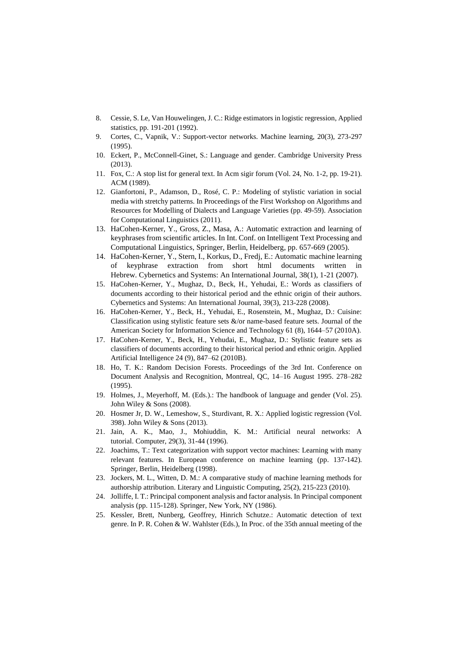- 8. Cessie, S. Le, Van Houwelingen, J. C.: Ridge estimators in logistic regression, Applied statistics, pp. 191-201 (1992).
- 9. Cortes, C., Vapnik, V.: Support-vector networks. Machine learning, 20(3), 273-297 (1995).
- 10. Eckert, P., McConnell-Ginet, S.: Language and gender. Cambridge University Press (2013).
- 11. Fox, C.: A stop list for general text. In Acm sigir forum (Vol. 24, No. 1-2, pp. 19-21). ACM (1989).
- 12. Gianfortoni, P., Adamson, D., Rosé, C. P.: Modeling of stylistic variation in social media with stretchy patterns. In Proceedings of the First Workshop on Algorithms and Resources for Modelling of Dialects and Language Varieties (pp. 49-59). Association for Computational Linguistics (2011).
- 13. HaCohen-Kerner, Y., Gross, Z., Masa, A.: Automatic extraction and learning of keyphrases from scientific articles. In Int. Conf. on Intelligent Text Processing and Computational Linguistics, Springer, Berlin, Heidelberg, pp. 657-669 (2005).
- 14. HaCohen-Kerner, Y., Stern, I., Korkus, D., Fredj, E.: Automatic machine learning of keyphrase extraction from short html documents written in Hebrew. Cybernetics and Systems: An International Journal, 38(1), 1-21 (2007).
- 15. HaCohen-Kerner, Y., Mughaz, D., Beck, H., Yehudai, E.: Words as classifiers of documents according to their historical period and the ethnic origin of their authors. Cybernetics and Systems: An International Journal, 39(3), 213-228 (2008).
- 16. HaCohen-Kerner, Y., Beck, H., Yehudai, E., Rosenstein, M., Mughaz, D.: Cuisine: Classification using stylistic feature sets  $\&$ /or name-based feature sets. Journal of the American Society for Information Science and Technology 61 (8), 1644–57 (2010A).
- 17. HaCohen-Kerner, Y., Beck, H., Yehudai, E., Mughaz, D.: Stylistic feature sets as classifiers of documents according to their historical period and ethnic origin. Applied Artificial Intelligence 24 (9), 847–62 (2010B).
- 18. Ho, T. K.: [Random Decision Forests.](http://ect.bell-labs.com/who/tkh/publications/papers/odt.pdf) Proceedings of the 3rd Int. Conference on Document Analysis and Recognition, Montreal, QC, 14–16 August 1995. 278–282 (1995).
- 19. Holmes, J., Meyerhoff, M. (Eds.).: The handbook of language and gender (Vol. 25). John Wiley & Sons (2008).
- 20. Hosmer Jr, D. W., Lemeshow, S., Sturdivant, R. X.: Applied logistic regression (Vol. 398). John Wiley & Sons (2013).
- 21. Jain, A. K., Mao, J., Mohiuddin, K. M.: Artificial neural networks: A tutorial. Computer, 29(3), 31-44 (1996).
- 22. Joachims, T.: Text categorization with support vector machines: Learning with many relevant features. In European conference on machine learning (pp. 137-142). Springer, Berlin, Heidelberg (1998).
- 23. Jockers, M. L., Witten, D. M.: A comparative study of machine learning methods for authorship attribution. Literary and Linguistic Computing, 25(2), 215-223 (2010).
- 24. Jolliffe, I. T.: Principal component analysis and factor analysis. In Principal component analysis (pp. 115-128). Springer, New York, NY (1986).
- 25. Kessler, Brett, Nunberg, Geoffrey, Hinrich Schutze.: Automatic detection of text genre. In P. R. Cohen & W. Wahlster (Eds.), In Proc. of the 35th annual meeting of the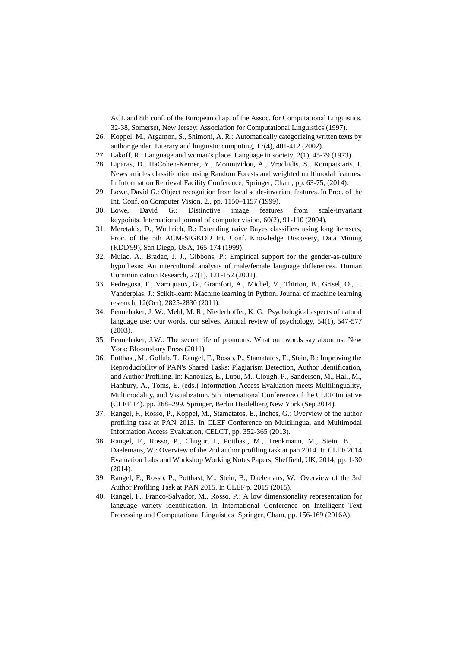ACL and 8th conf. of the European chap. of the Assoc. for Computational Linguistics. 32-38, Somerset, New Jersey: Association for Computational Linguistics (1997).

- 26. Koppel, M., Argamon, S., Shimoni, A. R.: Automatically categorizing written texts by author gender. Literary and linguistic computing, 17(4), 401-412 (2002).
- 27. Lakoff, R.: Language and woman's place. Language in society, 2(1), 45-79 (1973).
- 28. Liparas, D., HaCohen-Kerner, Y., Moumtzidou, A., Vrochidis, S., Kompatsiaris, I. News articles classification using Random Forests and weighted multimodal features. In Information Retrieval Facility Conference, Springer, Cham, pp. 63-75, (2014).
- 29. Lowe, David G.: Object [recognition from local scale-invariant features.](http://www.cs.ubc.ca/~lowe/papers/iccv99.pdf) In Proc. of the Int. Conf. on Computer Vision. 2., pp. 1150–1157 (1999).
- 30. Lowe, David G.: Distinctive image features from scale-invariant keypoints. International journal of computer vision, 60(2), 91-110 (2004).
- 31. Meretakis, D., Wuthrich, B.: Extending naive Bayes classifiers using long itemsets, Proc. of the 5th ACM-SIGKDD Int. Conf. Knowledge Discovery, Data Mining (KDD'99), San Diego, USA, 165-174 (1999).
- 32. Mulac, A., Bradac, J. J., Gibbons, P.: Empirical support for the gender-as-culture hypothesis: An intercultural analysis of male/female language differences. Human Communication Research, 27(1), 121-152 (2001).
- 33. Pedregosa, F., Varoquaux, G., Gramfort, A., Michel, V., Thirion, B., Grisel, O., ... Vanderplas, J.: Scikit-learn: Machine learning in Python. Journal of machine learning research, 12(Oct), 2825-2830 (2011).
- 34. Pennebaker, J. W., Mehl, M. R., Niederhoffer, K. G.: Psychological aspects of natural language use: Our words, our selves. Annual review of psychology, 54(1), 547-577 (2003).
- 35. Pennebaker, J.W.: The secret life of pronouns: What our words say about us. New York: Bloomsbury Press (2011).
- 36. Potthast, M., Gollub, T., Rangel, F., Rosso, P., Stamatatos, E., Stein, B.: Improving the Reproducibility of PAN's Shared Tasks: Plagiarism Detection, Author Identification, and Author Profiling. In: Kanoulas, E., Lupu, M., Clough, P., Sanderson, M., Hall, M., Hanbury, A., Toms, E. (eds.) Information Access Evaluation meets Multilinguality, Multimodality, and Visualization. 5th International Conference of the CLEF Initiative (CLEF 14). pp. 268–299. Springer, Berlin Heidelberg New York (Sep 2014).
- 37. Rangel, F., Rosso, P., Koppel, M., Stamatatos, E., Inches, G.: Overview of the author profiling task at PAN 2013. In CLEF Conference on Multilingual and Multimodal Information Access Evaluation, CELCT, pp. 352-365 (2013).
- 38. Rangel, F., Rosso, P., Chugur, I., Potthast, M., Trenkmann, M., Stein, B., ... Daelemans, W.: Overview of the 2nd author profiling task at pan 2014. In CLEF 2014 Evaluation Labs and Workshop Working Notes Papers, Sheffield, UK, 2014, pp. 1-30 (2014).
- 39. Rangel, F., Rosso, P., Potthast, M., Stein, B., Daelemans, W.: Overview of the 3rd Author Profiling Task at PAN 2015. In CLEF p. 2015 (2015).
- 40. Rangel, F., Franco-Salvador, M., Rosso, P.: A low dimensionality representation for language variety identification. In International Conference on Intelligent Text Processing and Computational Linguistics Springer, Cham, pp. 156-169 (2016A).